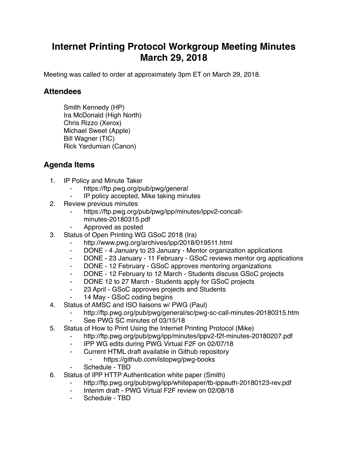## **Internet Printing Protocol Workgroup Meeting Minutes March 29, 2018**

Meeting was called to order at approximately 3pm ET on March 29, 2018.

## **Attendees**

Smith Kennedy (HP) Ira McDonald (High North) Chris Rizzo (Xerox) Michael Sweet (Apple) Bill Wagner (TIC) Rick Yardumian (Canon)

## **Agenda Items**

- 1. IP Policy and Minute Taker
	- https://ftp.pwg.org/pub/pwg/general
	- ⁃ IP policy accepted, Mike taking minutes
- 2. Review previous minutes
	- https://ftp.pwg.org/pub/pwg/ipp/minutes/ippv2-concallminutes-20180315.pdf
	- ⁃ Approved as posted
- 3. Status of Open Printing WG GSoC 2018 (Ira)
	- http://www.pwg.org/archives/ipp/2018/019511.html
	- ⁃ DONE 4 January to 23 January Mentor organization applications
	- ⁃ DONE 23 January 11 February GSoC reviews mentor org applications
	- ⁃ DONE 12 February GSoC approves mentoring organizations
	- ⁃ DONE 12 February to 12 March Students discuss GSoC projects
	- ⁃ DONE 12 to 27 March Students apply for GSoC projects
	- ⁃ 23 April GSoC approves projects and Students
	- 14 May GSoC coding begins
- 4. Status of AMSC and ISO liaisons w/ PWG (Paul)
	- ⁃ http://ftp.pwg.org/pub/pwg/general/sc/pwg-sc-call-minutes-20180315.htm
	- See PWG SC minutes of 03/15/18
- 5. Status of How to Print Using the Internet Printing Protocol (Mike)
	- http://ftp.pwg.org/pub/pwg/ipp/minutes/ippv2-f2f-minutes-20180207.pdf
	- ⁃ IPP WG edits during PWG Virtual F2F on 02/07/18
	- ⁃ Current HTML draft available in Github repository
		- ⁃ https://github.com/istopwg/pwg-books
	- Schedule TBD
- 6. Status of IPP HTTP Authentication white paper (Smith)
	- http://ftp.pwg.org/pub/pwg/ipp/whitepaper/tb-ippauth-20180123-rev.pdf
	- ⁃ Interim draft PWG Virtual F2F review on 02/08/18
	- Schedule TBD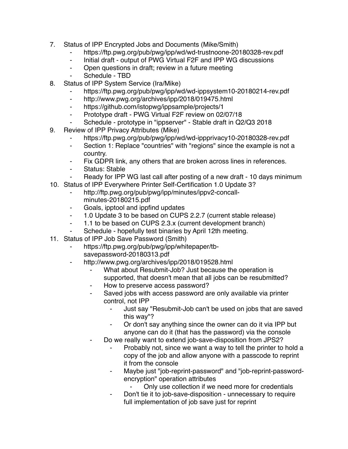- 7. Status of IPP Encrypted Jobs and Documents (Mike/Smith)
	- ⁃ https://ftp.pwg.org/pub/pwg/ipp/wd/wd-trustnoone-20180328-rev.pdf
	- ⁃ Initial draft output of PWG Virtual F2F and IPP WG discussions
	- ⁃ Open questions in draft; review in a future meeting
	- Schedule TBD
- 8. Status of IPP System Service (Ira/Mike)
	- https://ftp.pwg.org/pub/pwg/ipp/wd/wd-ippsystem10-20180214-rev.pdf
	- ⁃ http://www.pwg.org/archives/ipp/2018/019475.html
	- ⁃ https://github.com/istopwg/ippsample/projects/1
	- ⁃ Prototype draft PWG Virtual F2F review on 02/07/18
	- Schedule prototype in "ippserver" Stable draft in Q2/Q3 2018
- 9. Review of IPP Privacy Attributes (Mike)
	- https://ftp.pwg.org/pub/pwg/ipp/wd/wd-ippprivacy10-20180328-rev.pdf
	- ⁃ Section 1: Replace "countries" with "regions" since the example is not a country.
	- Fix GDPR link, any others that are broken across lines in references.
	- Status: Stable
	- Ready for IPP WG last call after posting of a new draft 10 days minimum
- 10. Status of IPP Everywhere Printer Self-Certification 1.0 Update 3?
	- http://ftp.pwg.org/pub/pwg/ipp/minutes/ippv2-concallminutes-20180215.pdf
	- ⁃ Goals, ipptool and ippfind updates
	- 1.0 Update 3 to be based on CUPS 2.2.7 (current stable release)
	- 1.1 to be based on CUPS 2.3.x (current development branch)
	- Schedule hopefully test binaries by April 12th meeting.
- 11. Status of IPP Job Save Password (Smith)
	- ⁃ https://ftp.pwg.org/pub/pwg/ipp/whitepaper/tbsavepassword-20180313.pdf
	- http://www.pwg.org/archives/ipp/2018/019528.html
		- What about Resubmit-Job? Just because the operation is supported, that doesn't mean that all jobs can be resubmitted?
		- ⁃ How to preserve access password?
		- Saved iobs with access password are only available via printer control, not IPP
			- Just say "Resubmit-Job can't be used on jobs that are saved this way"?
			- ⁃ Or don't say anything since the owner can do it via IPP but anyone can do it (that has the password) via the console
		- Do we really want to extend job-save-disposition from JPS2?
			- Probably not, since we want a way to tell the printer to hold a copy of the job and allow anyone with a passcode to reprint it from the console
			- Maybe just "job-reprint-password" and "job-reprint-passwordencryption" operation attributes
				- Only use collection if we need more for credentials
			- ⁃ Don't tie it to job-save-disposition unnecessary to require full implementation of job save just for reprint